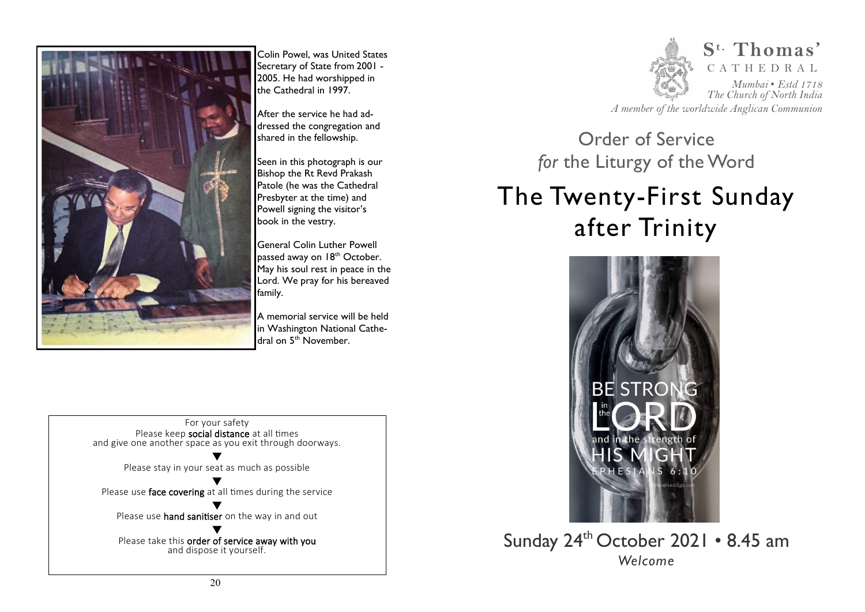

Colin Powel, was United States Secretary of State from 2001 - 2005. He had worshipped in the Cathedral in 1997.

After the service he had addressed the congregation and shared in the fellowship.

Seen in this photograph is our Bishop the Rt Revd Prakash Patole (he was the Cathedral Presbyter at the time) and Powell signing the visitor's book in the vestry.

General Colin Luther Powell passed away on 18<sup>th</sup> October. May his soul rest in peace in the Lord. We pray for his bereaved family.

A memorial service will be held in Washington National Cathedral on 5<sup>th</sup> November.





*A member of the worldwide Anglican Communion* 

Order of Service *for* the Liturgy of the Word

# The Twenty-First Sunday after Trinity



Sunday 24<sup>th</sup> October 2021 • 8.45 am *Welcome*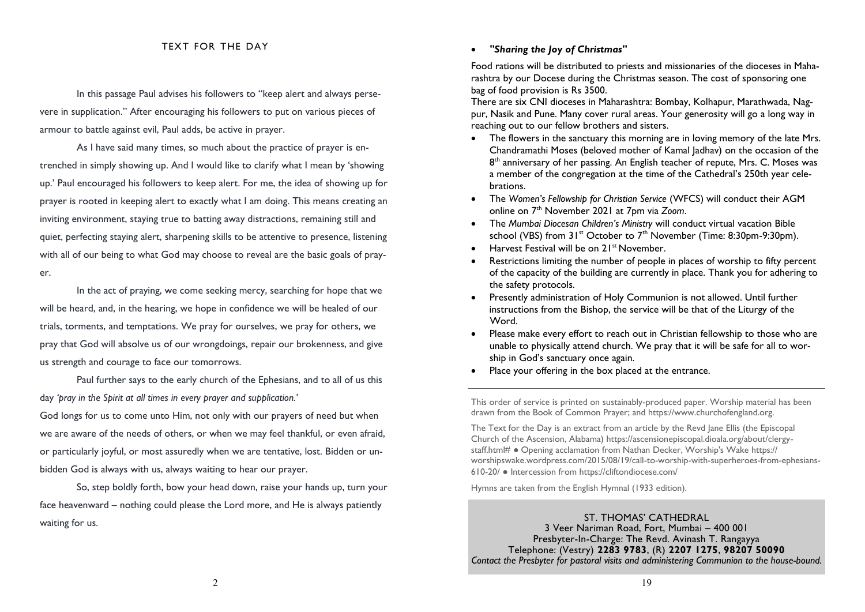#### TEXT FOR THE DAY

In this passage Paul advises his followers to "keep alert and always persevere in supplication." After encouraging his followers to put on various pieces of armour to battle against evil, Paul adds, be active in prayer.

 As I have said many times, so much about the practice of prayer is entrenched in simply showing up. And I would like to clarify what I mean by 'showing up.' Paul encouraged his followers to keep alert. For me, the idea of showing up for prayer is rooted in keeping alert to exactly what I am doing. This means creating an inviting environment, staying true to batting away distractions, remaining still and quiet, perfecting staying alert, sharpening skills to be attentive to presence, listening with all of our being to what God may choose to reveal are the basic goals of prayer.

 In the act of praying, we come seeking mercy, searching for hope that we will be heard, and, in the hearing, we hope in confidence we will be healed of our trials, torments, and temptations. We pray for ourselves, we pray for others, we pray that God will absolve us of our wrongdoings, repair our brokenness, and give us strength and courage to face our tomorrows.

 Paul further says to the early church of the Ephesians, and to all of us this day *'pray in the Spirit at all times in every prayer and supplication.'*

God longs for us to come unto Him, not only with our prayers of need but when we are aware of the needs of others, or when we may feel thankful, or even afraid, or particularly joyful, or most assuredly when we are tentative, lost. Bidden or unbidden God is always with us, always waiting to hear our prayer.

 So, step boldly forth, bow your head down, raise your hands up, turn your face heavenward – nothing could please the Lord more, and He is always patiently waiting for us.

#### *"Sharing the Joy of Christmas"*

Food rations will be distributed to priests and missionaries of the dioceses in Maharashtra by our Docese during the Christmas season. The cost of sponsoring one bag of food provision is Rs 3500.

There are six CNI dioceses in Maharashtra: Bombay, Kolhapur, Marathwada, Nagpur, Nasik and Pune. Many cover rural areas. Your generosity will go a long way in reaching out to our fellow brothers and sisters.

- The flowers in the sanctuary this morning are in loving memory of the late Mrs. Chandramathi Moses (beloved mother of Kamal Jadhav) on the occasion of the 8<sup>th</sup> anniversary of her passing. An English teacher of repute, Mrs. C. Moses was a member of the congregation at the time of the Cathedral's 250th year celebrations.
- The *Women's Fellowship for Christian Service* (WFCS) will conduct their AGM online on 7th November 2021 at 7pm via *Zoom*.
- The *Mumbai Diocesan Children's Ministry* will conduct virtual vacation Bible school (VBS) from  $31^{st}$  October to  $7^{th}$  November (Time: 8:30pm-9:30pm).
- Harvest Festival will be on 21<sup>st</sup> November.
- Restrictions limiting the number of people in places of worship to fifty percent of the capacity of the building are currently in place. Thank you for adhering to the safety protocols.
- Presently administration of Holy Communion is not allowed. Until further instructions from the Bishop, the service will be that of the Liturgy of the Word.
- Please make every effort to reach out in Christian fellowship to those who are unable to physically attend church. We pray that it will be safe for all to worship in God's sanctuary once again.
- Place your offering in the box placed at the entrance.

This order of service is printed on sustainably-produced paper. Worship material has been drawn from the Book of Common Prayer; and https://www.churchofengland.org.

The Text for the Day is an extract from an article by the Revd Jane Ellis (the Episcopal Church of the Ascension, Alabama) https://ascensionepiscopal.dioala.org/about/clergystaff.html# ● Opening acclamation from Nathan Decker, Worship's Wake https:// worshipswake.wordpress.com/2015/08/19/call-to-worship-with-superheroes-from-ephesians-610-20/ ● Intercession from https://cliftondiocese.com/

Hymns are taken from the English Hymnal (1933 edition).

ST. THOMAS' CATHEDRAL 3 Veer Nariman Road, Fort, Mumbai – 400 001 Presbyter-In-Charge: The Revd. Avinash T. Rangayya Telephone: (Vestry) **2283 9783**, (R) **2207 1275**, **98207 50090**  *Contact the Presbyter for pastoral visits and administering Communion to the house-bound.*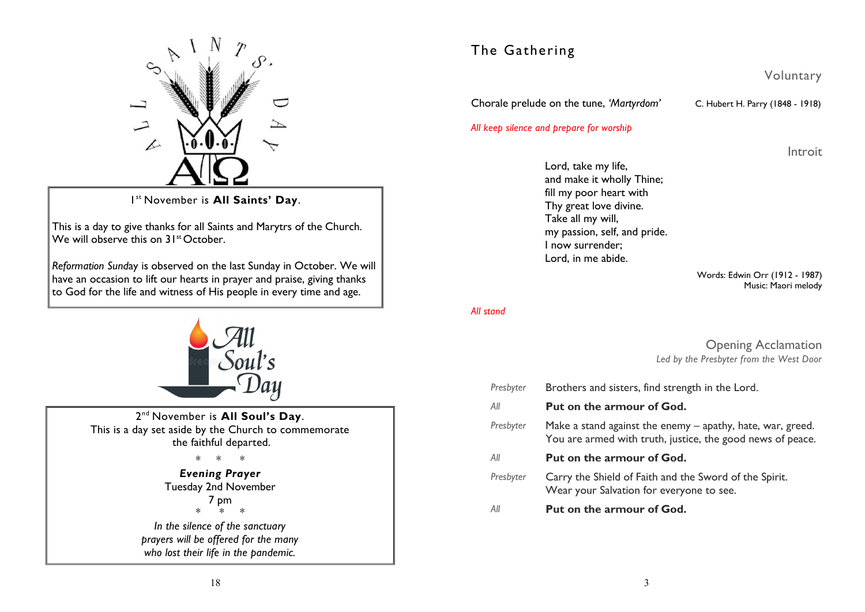

1 st November is **All Saints' Day**.

This is a day to give thanks for all Saints and Marytrs of the Church. We will observe this on 31<sup>st</sup> October.

*Reformation Sund*ay is observed on the last Sunday in October. We will have an occasion to lift our hearts in prayer and praise, giving thanks to God for the life and witness of His people in every time and age.



2 nd November is **All Soul's Day**. This is a day set aside by the Church to commemorate the faithful departed.

> \* \* \* *Evening Prayer*  Tuesday 2nd November 7 pm \* \* \* *In the silence of the sanctuary prayers will be offered for the many who lost their life in the pandemic.*

# The Gathering

Voluntary

Chorale prelude on the tune, *'Martyrdom'* C. Hubert H. Parry (1848 - 1918)

#### *All keep silence and prepare for worship*

Introit

Lord, take my life, and make it wholly Thine; fill my poor heart with Thy great love divine. Take all my will, my passion, self, and pride. I now surrender; Lord, in me abide.

> Words: Edwin Orr (1912 - 1987) Music: Maori melody

*All stand* 

Opening Acclamation *Led by the Presbyter from the West Door* 

| Presbyter | Brothers and sisters, find strength in the Lord.                                                                         |  |
|-----------|--------------------------------------------------------------------------------------------------------------------------|--|
| All       | Put on the armour of God.                                                                                                |  |
| Presbyter | Make a stand against the enemy – apathy, hate, war, greed.<br>You are armed with truth, justice, the good news of peace. |  |
| All       | <b>Put on the armour of God.</b>                                                                                         |  |
| Presbyter | Carry the Shield of Faith and the Sword of the Spirit.<br>Wear your Salvation for everyone to see.                       |  |
| All       | Put on the armour of God.                                                                                                |  |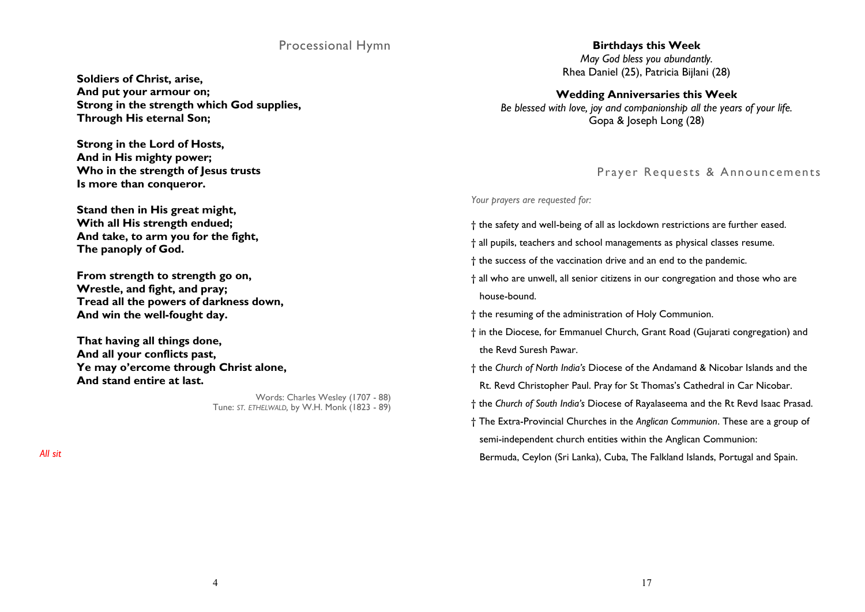## Processional Hymn

**Soldiers of Christ, arise, And put your armour on; Strong in the strength which God supplies, Through His eternal Son;** 

**Strong in the Lord of Hosts, And in His mighty power; Who in the strength of Jesus trusts Is more than conqueror.** 

**Stand then in His great might, With all His strength endued; And take, to arm you for the fight, The panoply of God.** 

**From strength to strength go on, Wrestle, and fight, and pray; Tread all the powers of darkness down, And win the well-fought day.** 

**That having all things done, And all your conflicts past, Ye may o'ercome through Christ alone, And stand entire at last.** 

> Words: Charles Wesley (1707 - 88) Tune: *ST. ETHELWALD,* by W.H. Monk (1823 - 89)

*All sit* 

#### **Birthdays this Week**  *May God bless you abundantly.*  Rhea Daniel (25), Patricia Bijlani (28)

**Wedding Anniversaries this Week**  *Be blessed with love, joy and companionship all the years of your life.*  Gopa & Joseph Long (28)

## Prayer Requests & Announcements

*Your prayers are requested for:* 

- † the safety and well-being of all as lockdown restrictions are further eased.
- † all pupils, teachers and school managements as physical classes resume.
- † the success of the vaccination drive and an end to the pandemic.
- † all who are unwell, all senior citizens in our congregation and those who are house-bound.
- † the resuming of the administration of Holy Communion.
- † in the Diocese, for Emmanuel Church, Grant Road (Gujarati congregation) and the Revd Suresh Pawar.
- † the *Church of North India's* Diocese of the Andamand & Nicobar Islands and the Rt. Revd Christopher Paul. Pray for St Thomas's Cathedral in Car Nicobar.
- † the *Church of South India's* Diocese of [Rayalaseema](https://en.wikipedia.org/wiki/Diocese_of_Rayalaseema_of_the_Church_of_South_India) and the Rt Revd Isaac Prasad.
- † The Extra-Provincial Churches in the *Anglican Communion*. These are a group of semi-independent church entities within the Anglican Communion:

Bermuda, Ceylon (Sri Lanka), Cuba, The Falkland Islands, Portugal and Spain.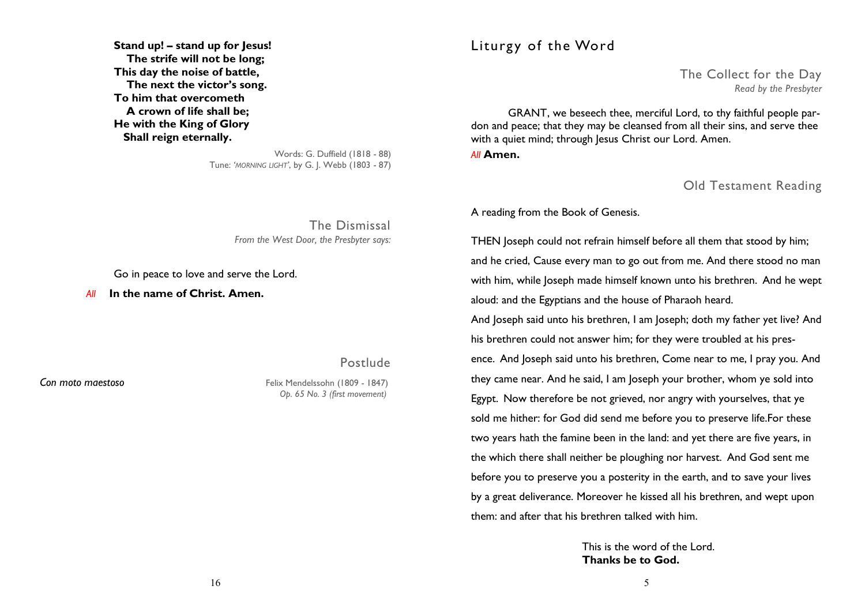**Stand up! – stand up for Jesus! The strife will not be long; This day the noise of battle, The next the victor's song. To him that overcometh A crown of life shall be; He with the King of Glory Shall reign eternally.** 

> Words: G. Duffield (1818 - 88) Tune: *'MORNING LIGHT'*, by G. J. Webb (1803 - 87)

> > The Dismissal *From the West Door, the Presbyter says:*

Go in peace to love and serve the Lord.

 *All* **In the name of Christ. Amen.** 

Postlude

*Con moto maestoso* Felix Mendelssohn (1809 - 1847)  *Op. 65 No. 3 (first movement)* 

# Liturgy of the Word

The Collect for the Day *Read by the Presbyter* 

 GRANT, we beseech thee, merciful Lord, to thy faithful people pardon and peace; that they may be cleansed from all their sins, and serve thee with a quiet mind; through Jesus Christ our Lord. Amen.

*All* **Amen.** 

Old Testament Reading

A reading from the Book of Genesis.

THEN Joseph could not refrain himself before all them that stood by him; and he cried, Cause every man to go out from me. And there stood no man with him, while Joseph made himself known unto his brethren. And he wept aloud: and the Egyptians and the house of Pharaoh heard.

And Joseph said unto his brethren, I am Joseph; doth my father yet live? And his brethren could not answer him; for they were troubled at his presence. And Joseph said unto his brethren, Come near to me, I pray you. And they came near. And he said, I am Joseph your brother, whom ye sold into Egypt. Now therefore be not grieved, nor angry with yourselves, that ye sold me hither: for God did send me before you to preserve life.For these two years hath the famine been in the land: and yet there are five years, in the which there shall neither be ploughing nor harvest. And God sent me before you to preserve you a posterity in the earth, and to save your lives by a great deliverance. Moreover he kissed all his brethren, and wept upon them: and after that his brethren talked with him.

> This is the word of the Lord. **Thanks be to God.**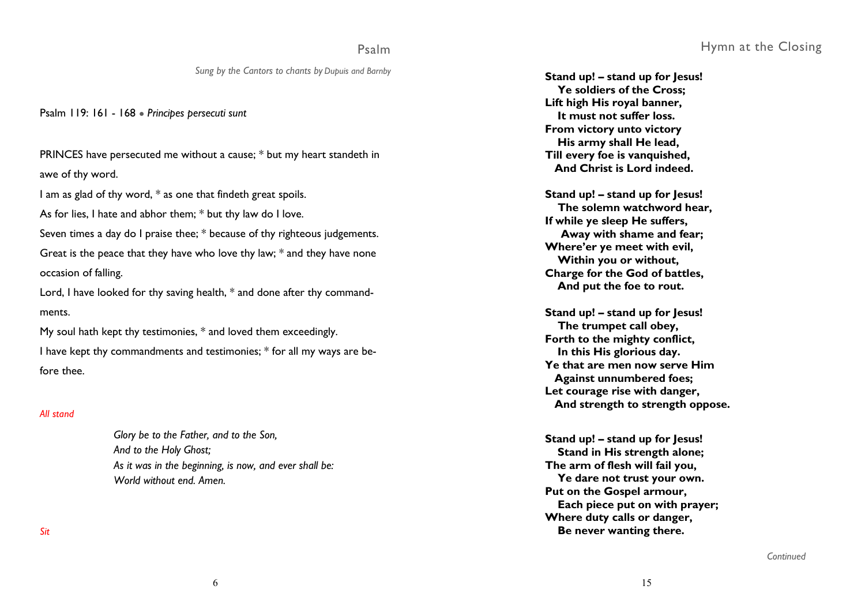#### Psalm

*Sung by the Cantors to chants by Dupuis and Barnby*

Psalm 119: 161 - 168 ● *Principes persecuti sunt* 

PRINCES have persecuted me without a cause; \* but my heart standeth in awe of thy word.

I am as glad of thy word, \* as one that findeth great spoils.

As for lies, I hate and abhor them; \* but thy law do I love.

Seven times a day do I praise thee; \* because of thy righteous judgements. Great is the peace that they have who love thy law; \* and they have none occasion of falling.

Lord, I have looked for thy saving health, \* and done after thy commandments.

My soul hath kept thy testimonies, \* and loved them exceedingly. I have kept thy commandments and testimonies; \* for all my ways are before thee.

#### *All stand*

*Glory be to the Father, and to the Son, And to the Holy Ghost; As it was in the beginning, is now, and ever shall be: World without end. Amen.* 

**Stand up! – stand up for Jesus! Ye soldiers of the Cross; Lift high His royal banner, It must not suffer loss. From victory unto victory His army shall He lead, Till every foe is vanquished, And Christ is Lord indeed.** 

**Stand up! – stand up for Jesus! The solemn watchword hear, If while ye sleep He suffers, Away with shame and fear; Where'er ye meet with evil, Within you or without, Charge for the God of battles, And put the foe to rout.** 

**Stand up! – stand up for Jesus! The trumpet call obey, Forth to the mighty conflict, In this His glorious day. Ye that are men now serve Him Against unnumbered foes; Let courage rise with danger, And strength to strength oppose.** 

**Stand up! – stand up for Jesus! Stand in His strength alone; The arm of flesh will fail you, Ye dare not trust your own. Put on the Gospel armour, Each piece put on with prayer; Where duty calls or danger, Be never wanting there.** 

*Sit* 

*Continued*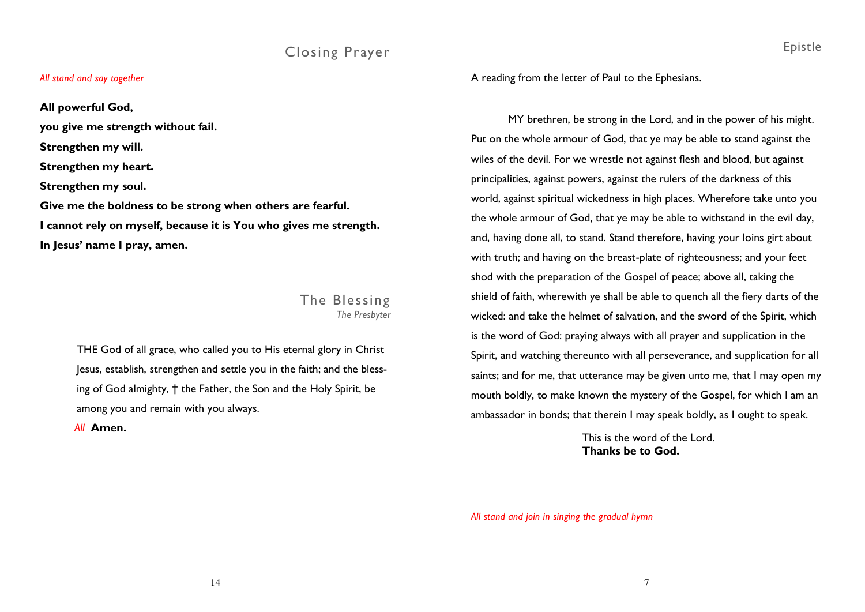# Closing Prayer

#### *All stand and say together*

**All powerful God, you give me strength without fail. Strengthen my will. Strengthen my heart. Strengthen my soul. Give me the boldness to be strong when others are fearful. I cannot rely on myself, because it is You who gives me strength. In Jesus' name I pray, amen.** 

## The Blessing *The Presbyter*

THE God of all grace, who called you to His eternal glory in Christ Jesus, establish, strengthen and settle you in the faith; and the blessing of God almighty, † the Father, the Son and the Holy Spirit, be among you and remain with you always.

 *All* **Amen.** 

A reading from the letter of Paul to the Ephesians.

MY brethren, be strong in the Lord, and in the power of his might. Put on the whole armour of God, that ye may be able to stand against the wiles of the devil. For we wrestle not against flesh and blood, but against principalities, against powers, against the rulers of the darkness of this world, against spiritual wickedness in high places. Wherefore take unto you the whole armour of God, that ye may be able to withstand in the evil day, and, having done all, to stand. Stand therefore, having your loins girt about with truth; and having on the breast-plate of righteousness; and your feet shod with the preparation of the Gospel of peace; above all, taking the shield of faith, wherewith ye shall be able to quench all the fiery darts of the wicked: and take the helmet of salvation, and the sword of the Spirit, which is the word of God: praying always with all prayer and supplication in the Spirit, and watching thereunto with all perseverance, and supplication for all saints; and for me, that utterance may be given unto me, that I may open my mouth boldly, to make known the mystery of the Gospel, for which I am an ambassador in bonds; that therein I may speak boldly, as I ought to speak.

> This is the word of the Lord. **Thanks be to God.**

*All stand and join in singing the gradual hymn*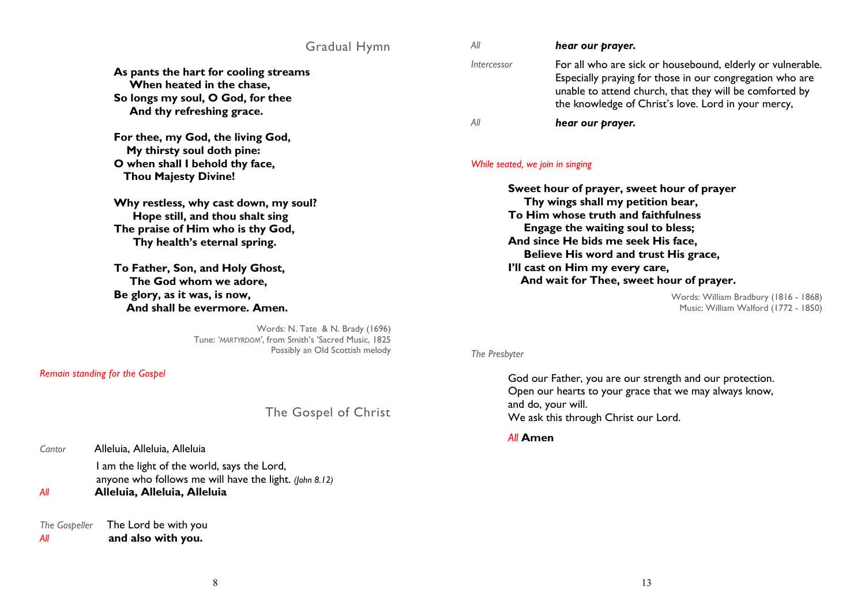### Gradual Hymn

**As pants the hart for cooling streams When heated in the chase, So longs my soul, O God, for thee And thy refreshing grace.** 

**For thee, my God, the living God, My thirsty soul doth pine: O when shall I behold thy face, Thou Majesty Divine!** 

**Why restless, why cast down, my soul? Hope still, and thou shalt sing The praise of Him who is thy God, Thy health's eternal spring.** 

**To Father, Son, and Holy Ghost, The God whom we adore, Be glory, as it was, is now, And shall be evermore. Amen.** 

> Words: N. Tate & N. Brady (1696) Tune: *'MARTYRDOM'*, from Smith's 'Sacred Music, 1825 Possibly an Old Scottish melody

*Remain standing for the Gospel* 

The Gospel of Christ

| Cantor | Alleluia, Alleluia, Alleluia |
|--------|------------------------------|
|        |                              |

 I am the light of the world, says the Lord, anyone who follows me will have the light. *(John 8.12)* 

*All* **Alleluia, Alleluia, Alleluia** 

*The Gospeller* The Lord be with you *All* **and also with you.** 

| Αll         | hear our prayer.                                                                                                                                                                                                                         |
|-------------|------------------------------------------------------------------------------------------------------------------------------------------------------------------------------------------------------------------------------------------|
| Intercessor | For all who are sick or housebound, elderly or vulnerable.<br>Especially praying for those in our congregation who are<br>unable to attend church, that they will be comforted by<br>the knowledge of Christ's love. Lord in your mercy, |
| Αll         | hear our prayer.                                                                                                                                                                                                                         |

#### *While seated, we join in singing*

**Sweet hour of prayer, sweet hour of prayer Thy wings shall my petition bear, To Him whose truth and faithfulness Engage the waiting soul to bless; And since He bids me seek His face, Believe His word and trust His grace, I'll cast on Him my every care, And wait for Thee, sweet hour of prayer.** 

> Words: William Bradbury (1816 - 1868) Music: William Walford (1772 - 1850)

#### *The Presbyter*

 God our Father, you are our strength and our protection. Open our hearts to your grace that we may always know, and do, your will. We ask this through Christ our Lord.

 *All* **Amen**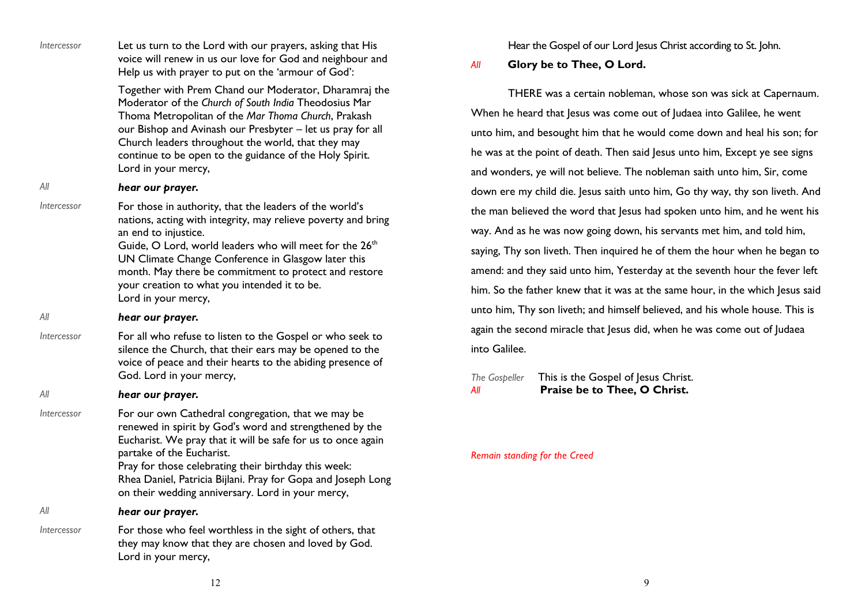| <i><u><b>Intercessor</b></u></i> | Let us turn to the Lord with our prayers, asking that His<br>voice will renew in us our love for God and neighbour and<br>Help us with prayer to put on the 'armour of God':                                                                                                                                                                                                                                                                                         | Hear the Gospel of our Lord Jesus Christ according to St. John.<br>Glory be to Thee, O Lord.<br>All                                                                                                                                                                                                                                                                            |  |
|----------------------------------|----------------------------------------------------------------------------------------------------------------------------------------------------------------------------------------------------------------------------------------------------------------------------------------------------------------------------------------------------------------------------------------------------------------------------------------------------------------------|--------------------------------------------------------------------------------------------------------------------------------------------------------------------------------------------------------------------------------------------------------------------------------------------------------------------------------------------------------------------------------|--|
|                                  | Together with Prem Chand our Moderator, Dharamraj the<br>Moderator of the Church of South India Theodosius Mar<br>Thoma Metropolitan of the Mar Thoma Church, Prakash<br>our Bishop and Avinash our Presbyter - let us pray for all<br>Church leaders throughout the world, that they may<br>continue to be open to the guidance of the Holy Spirit.<br>Lord in your mercy,                                                                                          | THERE was a certain nobleman, whose son was sick at Capernaum.<br>When he heard that Jesus was come out of Judaea into Galilee, he went<br>unto him, and besought him that he would come down and heal his son; for<br>he was at the point of death. Then said Jesus unto him, Except ye see signs<br>and wonders, ye will not believe. The nobleman saith unto him, Sir, come |  |
| All                              | hear our prayer.                                                                                                                                                                                                                                                                                                                                                                                                                                                     | down ere my child die. Jesus saith unto him, Go thy way, thy son liveth. And                                                                                                                                                                                                                                                                                                   |  |
| <i><u><b>Intercessor</b></u></i> | For those in authority, that the leaders of the world's<br>nations, acting with integrity, may relieve poverty and bring                                                                                                                                                                                                                                                                                                                                             | the man believed the word that Jesus had spoken unto him, and he went his                                                                                                                                                                                                                                                                                                      |  |
|                                  | an end to injustice.                                                                                                                                                                                                                                                                                                                                                                                                                                                 | way. And as he was now going down, his servants met him, and told him,                                                                                                                                                                                                                                                                                                         |  |
|                                  | Guide, O Lord, world leaders who will meet for the 26 <sup>th</sup><br>UN Climate Change Conference in Glasgow later this<br>month. May there be commitment to protect and restore<br>your creation to what you intended it to be.<br>Lord in your mercy,<br>hear our prayer.<br>For all who refuse to listen to the Gospel or who seek to<br>silence the Church, that their ears may be opened to the<br>voice of peace and their hearts to the abiding presence of | saying, Thy son liveth. Then inquired he of them the hour when he began to<br>amend: and they said unto him, Yesterday at the seventh hour the fever left                                                                                                                                                                                                                      |  |
|                                  |                                                                                                                                                                                                                                                                                                                                                                                                                                                                      | him. So the father knew that it was at the same hour, in the which Jesus said                                                                                                                                                                                                                                                                                                  |  |
| All                              |                                                                                                                                                                                                                                                                                                                                                                                                                                                                      | unto him, Thy son liveth; and himself believed, and his whole house. This is                                                                                                                                                                                                                                                                                                   |  |
| <i><u><b>Intercessor</b></u></i> |                                                                                                                                                                                                                                                                                                                                                                                                                                                                      | again the second miracle that Jesus did, when he was come out of Judaea                                                                                                                                                                                                                                                                                                        |  |
|                                  |                                                                                                                                                                                                                                                                                                                                                                                                                                                                      | into Galilee.                                                                                                                                                                                                                                                                                                                                                                  |  |
| All                              | God. Lord in your mercy,<br>hear our prayer.                                                                                                                                                                                                                                                                                                                                                                                                                         | This is the Gospel of Jesus Christ.<br>The Gospeller<br>Praise be to Thee, O Christ.<br>Αll                                                                                                                                                                                                                                                                                    |  |
| <i><u><b>Intercessor</b></u></i> | For our own Cathedral congregation, that we may be<br>renewed in spirit by God's word and strengthened by the<br>Eucharist. We pray that it will be safe for us to once again<br>partake of the Eucharist.<br>Pray for those celebrating their birthday this week:<br>Rhea Daniel, Patricia Bijlani. Pray for Gopa and Joseph Long<br>on their wedding anniversary. Lord in your mercy,                                                                              | Remain standing for the Creed                                                                                                                                                                                                                                                                                                                                                  |  |
| All                              | hear our prayer.                                                                                                                                                                                                                                                                                                                                                                                                                                                     |                                                                                                                                                                                                                                                                                                                                                                                |  |
| <i><u><b>Intercessor</b></u></i> | For those who feel worthless in the sight of others, that<br>they may know that they are chosen and loved by God.<br>Lord in your mercy,                                                                                                                                                                                                                                                                                                                             |                                                                                                                                                                                                                                                                                                                                                                                |  |